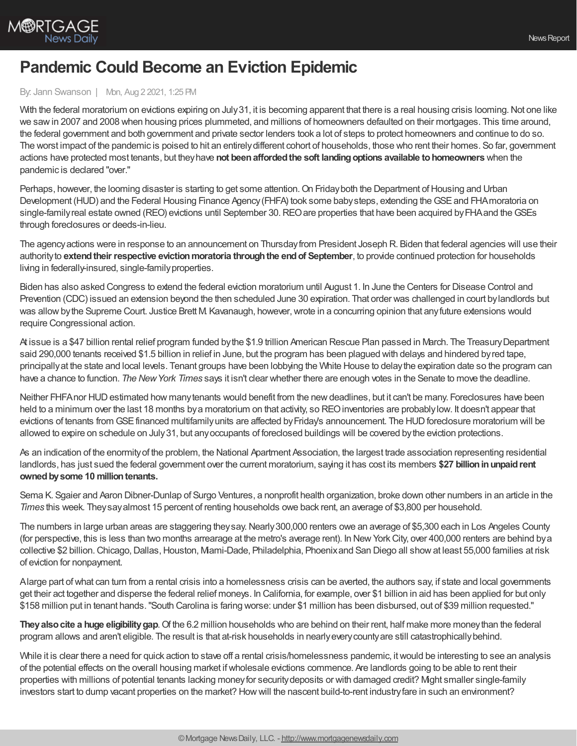

## **Pandemic Could Become an Eviction Epidemic**

## By: Jann Swanson | Mon, Aug 2 2021, 1:25 PM

With the federal moratorium on evictions expiring on July 31, it is becoming apparent that there is a real housing crisis looming. Not one like we sawin 2007 and 2008 when housing prices plummeted, and millions of homeowners defaulted on their mortgages. This time around, the federal government and both government and private sector lenders took a lot of steps to protect homeowners and continue to do so. The worst impact of the pandemic is poised to hit an entirely different cohort of households, those who rent their homes. So far, government actions have protected most tenants, but theyhave **not beenaffordedthe soft landingoptions available tohomeowners** when the pandemic is declared "over."

Perhaps, however, the looming disaster is starting to get some attention. On Friday both the Department of Housing and Urban Development (HUD) and the Federal Housing Finance Agency (FHFA) took some baby steps, extending the GSE and FHA moratoria on single-family real estate owned (REO) evictions until September 30. REO are properties that have been acquired by FHA and the GSEs through foreclosures or deeds-in-lieu.

The agencyactions were in response to an announcement on Thursdayfrom President Joseph R. Biden that federal agencies will use their authorityto **extendtheir respective evictionmoratoria throughthe endof September**, to provide continued protection for households living in federally-insured, single-familyproperties.

Biden has also asked Congress to extend the federal eviction moratorium until August 1. In June the Centers for Disease Control and Prevention (CDC) issued an extension beyond the then scheduled June 30 expiration. That order was challenged in court bylandlords but was allowbythe Supreme Court. Justice Brett M. Kavanaugh, however,wrote in a concurring opinion that anyfuture extensions would require Congressional action.

At issue is a \$47 billion rental relief program funded bythe \$1.9 trillion American Rescue Plan passed in March. The TreasuryDepartment said 290,000 tenants received \$1.5 billion in relief in June, but the program has been plagued with delays and hindered byred tape, principallyat the state and local levels. Tenant groups have been lobbying the White House to delaythe expiration date so the program can have a chance to function. *The NewYork Times* says it isn't clear whether there are enough votes in the Senate to move the deadline.

Neither FHFA nor HUD estimated how many tenants would benefit from the new deadlines, but it can't be many. Foreclosures have been held to a minimum over the last 18 months by a moratorium on that activity, so REO inventories are probably low. It doesn't appear that evictions of tenants from GSE financed multifamily units are affected by Friday's announcement. The HUD foreclosure moratorium will be allowed to expire on schedule on July31, but anyoccupants of foreclosed buildings will be covered bythe eviction protections.

As an indication of the enormityof the problem, the National Apartment Association, the largest trade association representing residential landlords, has just sued the federal government over the current moratorium, saying it has cost its members \$27 billion in unpaid rent **ownedbysome 10 milliontenants.**

Sema K. Sgaier and Aaron Dibner-Dunlap of Surgo Ventures, a nonprofit health organization, broke down other numbers in an article in the *Times* this week*.* Theysayalmost 15 percent of renting households owe back rent, an average of \$3,800 per household.

The numbers in large urban areas are staggering theysay.Nearly300,000 renters owe an average of \$5,300 each in Los Angeles County (for perspective, this is less than two months arrearage at the metro's average rent). In NewYorkCity, over 400,000 renters are behind bya collective \$2 billion. Chicago, Dallas, Houston, Mami-Dade, Philadelphia, Phoenix and San Diego all show at least 55,000 families at risk of eviction for nonpayment.

Alarge part ofwhat can turn from a rental crisis into a homelessness crisis can be averted, the authors say, if state and local governments get their act together and disperse the federal relief moneys. In California, for example, over \$1 billion in aid has been applied for but only \$158 million put in tenant hands."South Carolina is faring worse: under \$1 million has been disbursed, out of \$39 million requested."

**Theyalsocite a huge eligibilitygap**.Of the 6.2 million households who are behind on their rent, half make more moneythan the federal program allows and aren't eligible. The result is that at-risk households in nearlyeverycountyare still catastrophicallybehind.

While it is clear there a need for quick action to stave off a rental crisis/homelessness pandemic, it would be interesting to see an analysis of the potential effects on the overall housing market ifwholesale evictions commence. Are landlords going to be able to rent their properties with millions of potential tenants lacking moneyfor securitydeposits or with damaged credit? Might smaller single-family investors start to dump vacant properties on the market? Howwill the nascent build-to-rent industryfare in such an environment?